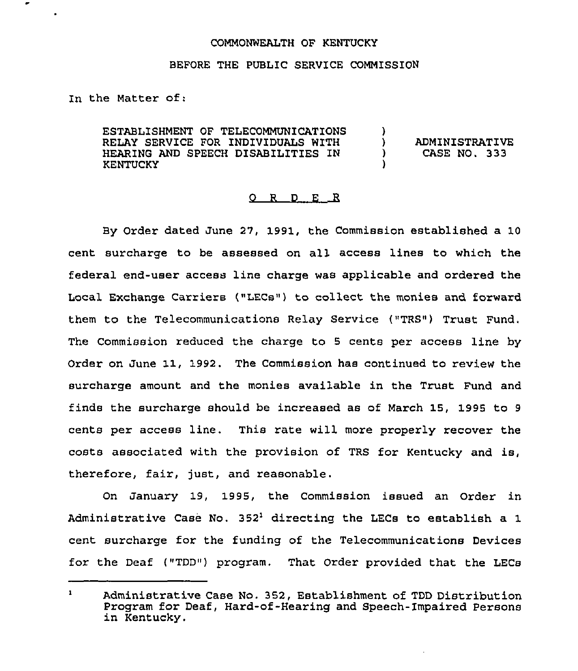## COMMONWEALTH OF KENTUCKY

## BEFORE THE PUBLIC SERVICE COMMISSION

In the Matter of:

ESTABLISHMENT OF TELECOMMUNICATIONS RELAY SERVICE FOR INDIVIDUALS WITH HEARING AND SPEECH DISABILITIES IN **KENTUCKY** )<br>) ) ADMINISTRATIVE<br>) CASE NO. 333 ) CASE NO. 333 )

## 0 R <sup>D</sup> E R

By Order dated June 27, 1991, the Commission established a 10 cent surcharge to be assessed on all access lines to which the federal end-user access line charge was applicable and ordered the Local Exchange Carriers ("LECs") to collect the monies and foxward them to the Telecommunications Relay Service ("TRS") Trust Fund. The Commission reduced the charge to <sup>5</sup> cents per access line by Order on June 11, 1992. The Commission has continued to review the surcharge amount and the monies available in the Trust Fund and finds the suxcharge should be increased as of March 15, 1995 to <sup>9</sup> cents per access line. This rate will more properly recover the costs associated with the provision of TRS for Kentucky and is, therefore, fair, just, and reasonable.

On January 19, 1995, the Commission issued an Order in Administrative Case No.  $352<sup>1</sup>$  directing the LECs to establish a 1 cent surcharge for the funding of the Telecommunications Devices for the Deaf ("TDD") program. That Order provided that the LECs

 $\mathbf{1}$ Administrative Case No. 352, Establishment of TDD Distribution Program for Deaf, Hard-of-Hearing and Speech-Impaired Persons in Kentucky.